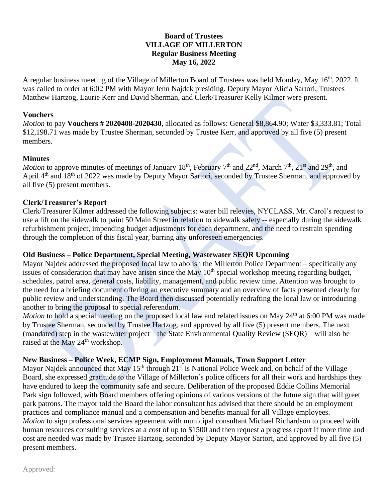# **Board of Trustees VILLAGE OF MILLERTON Regular Business Meeting May 16, 2022**

A regular business meeting of the Village of Millerton Board of Trustees was held Monday, May 16<sup>th</sup>, 2022. It was called to order at 6:02 PM with Mayor Jenn Najdek presiding. Deputy Mayor Alicia Sartori, Trustees Matthew Hartzog, Laurie Kerr and David Sherman, and Clerk/Treasurer Kelly Kilmer were present.

#### **Vouchers**

*Motion* to pay **Vouchers # 2020408-2020430**, allocated as follows: General \$8,864.90; Water \$3,333.81; Total \$12,198.71 was made by Trustee Sherman, seconded by Trustee Kerr, and approved by all five (5) present members.

### **Minutes**

*Motion* to approve minutes of meetings of January 18<sup>th</sup>, February 7<sup>th</sup> and 22<sup>nd</sup>, March 7<sup>th</sup>, 21<sup>st</sup> and 29<sup>th</sup>, and April 4<sup>th</sup> and 18<sup>th</sup> of 2022 was made by Deputy Mayor Sartori, seconded by Trustee Sherman, and approved by all five (5) present members.

### **Clerk/Treasurer's Report**

Clerk/Treasurer Kilmer addressed the following subjects: water bill relevies, NYCLASS, Mr. Carol's request to use a lift on the sidewalk to paint 50 Main Street in relation to sidewalk safety -- especially during the sidewalk refurbishment project, impending budget adjustments for each department, and the need to restrain spending through the completion of this fiscal year, barring any unforeseen emergencies.

### **Old Business – Police Department, Special Meeting, Wastewater SEQR Upcoming**

Mayor Najdek addressed the proposed local law to abolish the Millerton Police Department – specifically any issues of consideration that may have arisen since the May 10<sup>th</sup> special workshop meeting regarding budget, schedules, patrol area, general costs, liability, management, and public review time. Attention was brought to the need for a briefing document offering an executive summary and an overview of facts presented clearly for public review and understanding. The Board then discussed potentially redrafting the local law or introducing another to bring the proposal to special referendum.

*Motion* to hold a special meeting on the proposed local law and related issues on May 24<sup>th</sup> at 6:00 PM was made by Trustee Sherman, seconded by Trustee Hartzog, and approved by all five (5) present members. The next (mandated) step in the wastewater project – the State Environmental Quality Review (SEQR) – will also be raised at the May 24<sup>th</sup> workshop.

## **New Business – Police Week, ECMP Sign, Employment Manuals, Town Support Letter**

Mayor Najdek announced that May  $15<sup>th</sup>$  through  $21<sup>st</sup>$  is National Police Week and, on behalf of the Village Board, she expressed gratitude to the Village of Millerton's police officers for all their work and hardships they have endured to keep the community safe and secure. Deliberation of the proposed Eddie Collins Memorial Park sign followed, with Board members offering opinions of various versions of the future sign that will greet park patrons. The mayor told the Board the labor consultant has advised that there should be an employment practices and compliance manual and a compensation and benefits manual for all Village employees. *Motion* to sign professional services agreement with municipal consultant Michael Richardson to proceed with human resources consulting services at a cost of up to \$1500 and then request a progress report if more time and cost are needed was made by Trustee Hartzog, seconded by Deputy Mayor Sartori, and approved by all five (5) present members.

Approved: